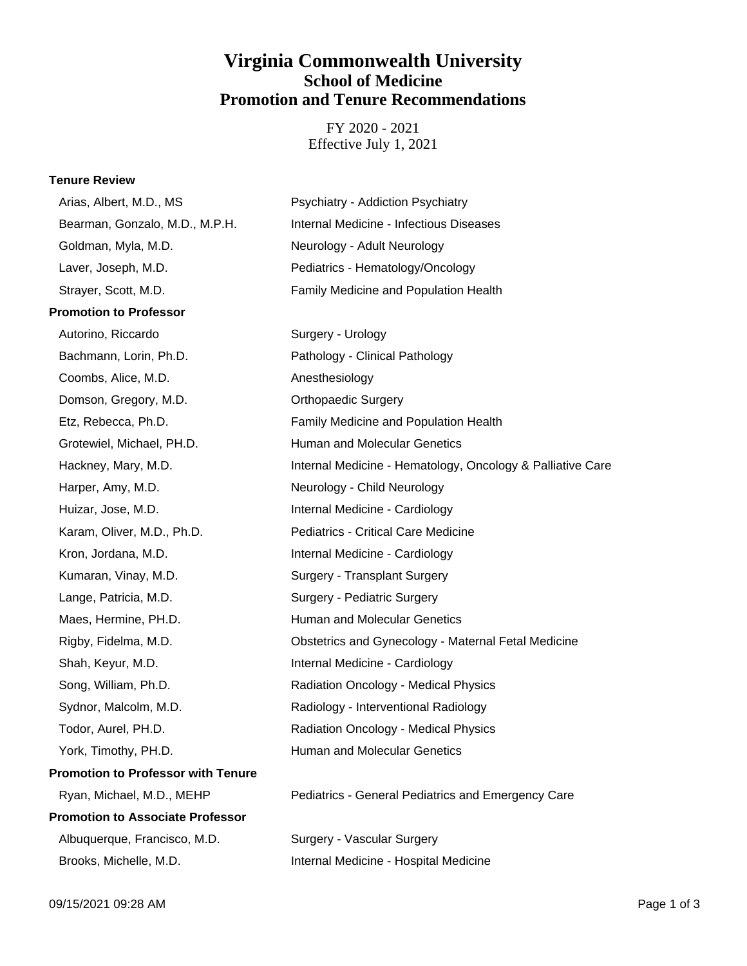# **Virginia Commonwealth University School of Medicine Promotion and Tenure Recommendations**

FY 2020 - 2021 Effective July 1, 2021

#### **Tenure Review**

| Arias, Albert, M.D., MS                   | Psychiatry - Addiction Psychiatry                          |
|-------------------------------------------|------------------------------------------------------------|
| Bearman, Gonzalo, M.D., M.P.H.            | Internal Medicine - Infectious Diseases                    |
| Goldman, Myla, M.D.                       | Neurology - Adult Neurology                                |
| Laver, Joseph, M.D.                       | Pediatrics - Hematology/Oncology                           |
| Strayer, Scott, M.D.                      | Family Medicine and Population Health                      |
| <b>Promotion to Professor</b>             |                                                            |
| Autorino, Riccardo                        | Surgery - Urology                                          |
| Bachmann, Lorin, Ph.D.                    | Pathology - Clinical Pathology                             |
| Coombs, Alice, M.D.                       | Anesthesiology                                             |
| Domson, Gregory, M.D.                     | Orthopaedic Surgery                                        |
| Etz, Rebecca, Ph.D.                       | Family Medicine and Population Health                      |
| Grotewiel, Michael, PH.D.                 | Human and Molecular Genetics                               |
| Hackney, Mary, M.D.                       | Internal Medicine - Hematology, Oncology & Palliative Care |
| Harper, Amy, M.D.                         | Neurology - Child Neurology                                |
| Huizar, Jose, M.D.                        | Internal Medicine - Cardiology                             |
| Karam, Oliver, M.D., Ph.D.                | <b>Pediatrics - Critical Care Medicine</b>                 |
| Kron, Jordana, M.D.                       | Internal Medicine - Cardiology                             |
| Kumaran, Vinay, M.D.                      | Surgery - Transplant Surgery                               |
| Lange, Patricia, M.D.                     | Surgery - Pediatric Surgery                                |
| Maes, Hermine, PH.D.                      | Human and Molecular Genetics                               |
| Rigby, Fidelma, M.D.                      | <b>Obstetrics and Gynecology - Maternal Fetal Medicine</b> |
| Shah, Keyur, M.D.                         | Internal Medicine - Cardiology                             |
| Song, William, Ph.D.                      | Radiation Oncology - Medical Physics                       |
| Sydnor, Malcolm, M.D.                     | Radiology - Interventional Radiology                       |
| Todor, Aurel, PH.D.                       | Radiation Oncology - Medical Physics                       |
| York, Timothy, PH.D.                      | Human and Molecular Genetics                               |
| <b>Promotion to Professor with Tenure</b> |                                                            |
| Ryan, Michael, M.D., MEHP                 | Pediatrics - General Pediatrics and Emergency Care         |
| <b>Promotion to Associate Professor</b>   |                                                            |
| Albuquerque, Francisco, M.D.              | Surgery - Vascular Surgery                                 |
| Brooks, Michelle, M.D.                    | Internal Medicine - Hospital Medicine                      |
|                                           |                                                            |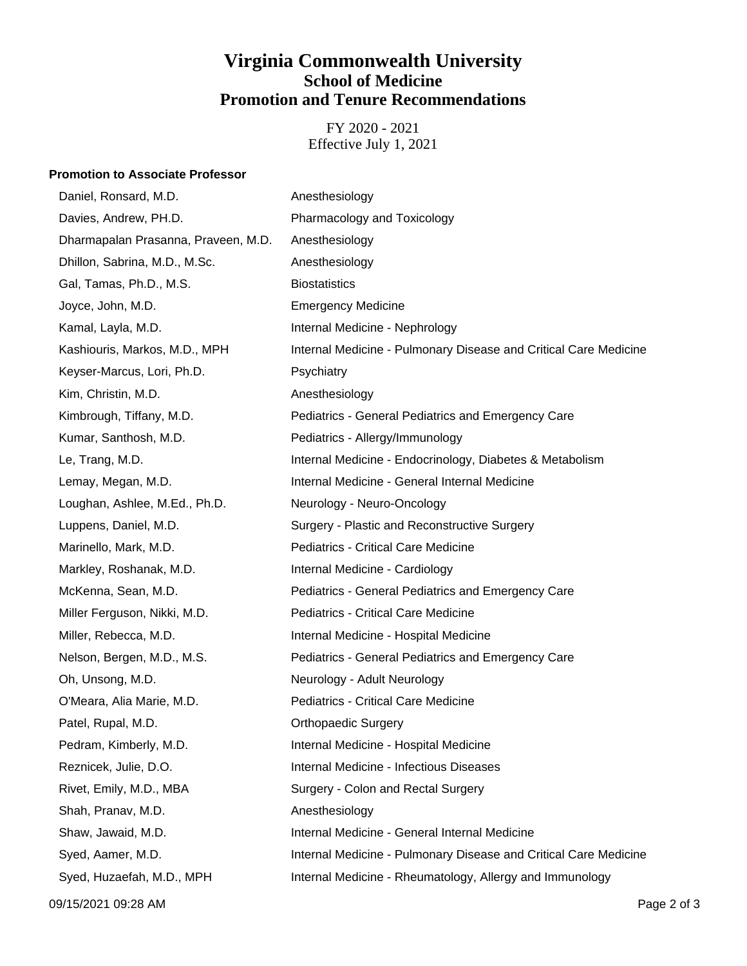# **Virginia Commonwealth University School of Medicine Promotion and Tenure Recommendations**

FY 2020 - 2021 Effective July 1, 2021

### **Promotion to Associate Professor**

| Daniel, Ronsard, M.D.               | Anesthesiology                                                   |
|-------------------------------------|------------------------------------------------------------------|
| Davies, Andrew, PH.D.               | Pharmacology and Toxicology                                      |
| Dharmapalan Prasanna, Praveen, M.D. | Anesthesiology                                                   |
| Dhillon, Sabrina, M.D., M.Sc.       | Anesthesiology                                                   |
| Gal, Tamas, Ph.D., M.S.             | <b>Biostatistics</b>                                             |
| Joyce, John, M.D.                   | <b>Emergency Medicine</b>                                        |
| Kamal, Layla, M.D.                  | Internal Medicine - Nephrology                                   |
| Kashiouris, Markos, M.D., MPH       | Internal Medicine - Pulmonary Disease and Critical Care Medicine |
| Keyser-Marcus, Lori, Ph.D.          | Psychiatry                                                       |
| Kim, Christin, M.D.                 | Anesthesiology                                                   |
| Kimbrough, Tiffany, M.D.            | Pediatrics - General Pediatrics and Emergency Care               |
| Kumar, Santhosh, M.D.               | Pediatrics - Allergy/Immunology                                  |
| Le, Trang, M.D.                     | Internal Medicine - Endocrinology, Diabetes & Metabolism         |
| Lemay, Megan, M.D.                  | Internal Medicine - General Internal Medicine                    |
| Loughan, Ashlee, M.Ed., Ph.D.       | Neurology - Neuro-Oncology                                       |
| Luppens, Daniel, M.D.               | Surgery - Plastic and Reconstructive Surgery                     |
| Marinello, Mark, M.D.               | <b>Pediatrics - Critical Care Medicine</b>                       |
| Markley, Roshanak, M.D.             | Internal Medicine - Cardiology                                   |
| McKenna, Sean, M.D.                 | Pediatrics - General Pediatrics and Emergency Care               |
| Miller Ferguson, Nikki, M.D.        | <b>Pediatrics - Critical Care Medicine</b>                       |
| Miller, Rebecca, M.D.               | Internal Medicine - Hospital Medicine                            |
| Nelson, Bergen, M.D., M.S.          | Pediatrics - General Pediatrics and Emergency Care               |
| Oh, Unsong, M.D.                    | Neurology - Adult Neurology                                      |
| O'Meara, Alia Marie, M.D.           | <b>Pediatrics - Critical Care Medicine</b>                       |
| Patel, Rupal, M.D.                  | <b>Orthopaedic Surgery</b>                                       |
| Pedram, Kimberly, M.D.              | Internal Medicine - Hospital Medicine                            |
| Reznicek, Julie, D.O.               | Internal Medicine - Infectious Diseases                          |
| Rivet, Emily, M.D., MBA             | Surgery - Colon and Rectal Surgery                               |
| Shah, Pranav, M.D.                  | Anesthesiology                                                   |
| Shaw, Jawaid, M.D.                  | Internal Medicine - General Internal Medicine                    |
| Syed, Aamer, M.D.                   | Internal Medicine - Pulmonary Disease and Critical Care Medicine |
| Syed, Huzaefah, M.D., MPH           | Internal Medicine - Rheumatology, Allergy and Immunology         |
|                                     |                                                                  |

09/15/2021 09:28 AM Page 2 of 3